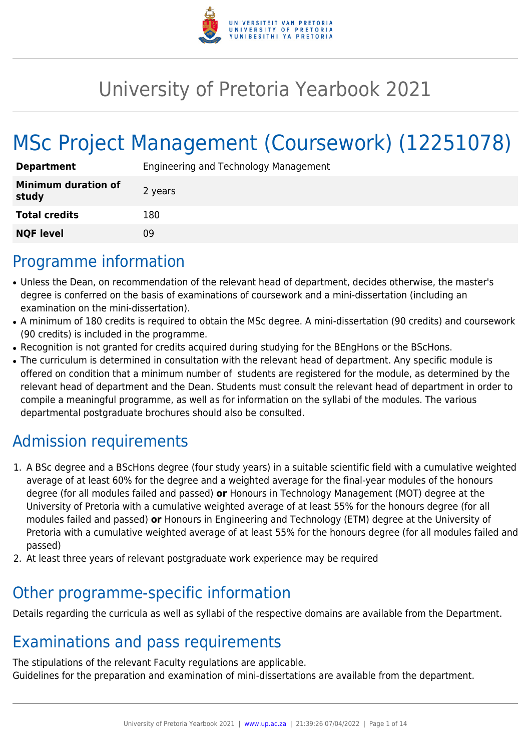

# University of Pretoria Yearbook 2021

# MSc Project Management (Coursework) (12251078)

| <b>Department</b>                   | Engineering and Technology Management |
|-------------------------------------|---------------------------------------|
| <b>Minimum duration of</b><br>study | 2 years                               |
| <b>Total credits</b>                | 180                                   |
| <b>NQF level</b>                    | 09                                    |

## Programme information

- Unless the Dean, on recommendation of the relevant head of department, decides otherwise, the master's degree is conferred on the basis of examinations of coursework and a mini-dissertation (including an examination on the mini-dissertation).
- A minimum of 180 credits is required to obtain the MSc degree. A mini-dissertation (90 credits) and coursework (90 credits) is included in the programme.
- Recognition is not granted for credits acquired during studying for the BEngHons or the BScHons.
- The curriculum is determined in consultation with the relevant head of department. Any specific module is offered on condition that a minimum number of students are registered for the module, as determined by the relevant head of department and the Dean. Students must consult the relevant head of department in order to compile a meaningful programme, as well as for information on the syllabi of the modules. The various departmental postgraduate brochures should also be consulted.

# Admission requirements

- 1. A BSc degree and a BScHons degree (four study years) in a suitable scientific field with a cumulative weighted average of at least 60% for the degree and a weighted average for the final-year modules of the honours degree (for all modules failed and passed) **or** Honours in Technology Management (MOT) degree at the University of Pretoria with a cumulative weighted average of at least 55% for the honours degree (for all modules failed and passed) **or** Honours in Engineering and Technology (ETM) degree at the University of Pretoria with a cumulative weighted average of at least 55% for the honours degree (for all modules failed and passed)
- 2. At least three years of relevant postgraduate work experience may be required

### Other programme-specific information

Details regarding the curricula as well as syllabi of the respective domains are available from the Department.

# Examinations and pass requirements

The stipulations of the relevant Faculty regulations are applicable. Guidelines for the preparation and examination of mini-dissertations are available from the department.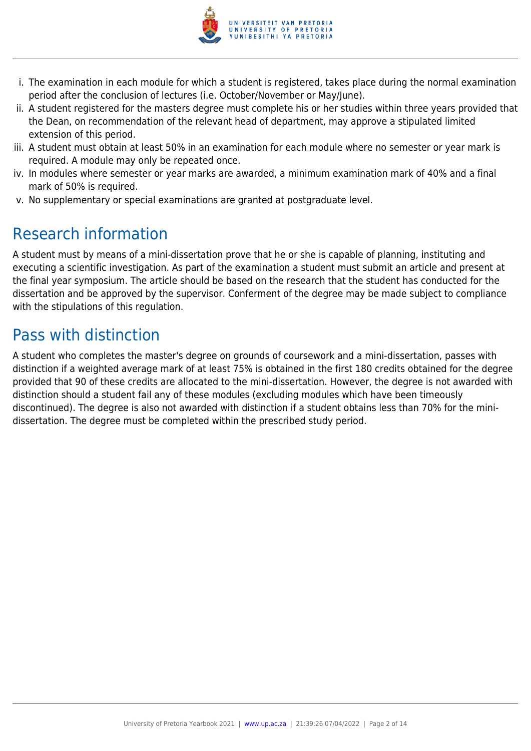

- i. The examination in each module for which a student is registered, takes place during the normal examination period after the conclusion of lectures (i.e. October/November or May/June).
- ii. A student registered for the masters degree must complete his or her studies within three years provided that the Dean, on recommendation of the relevant head of department, may approve a stipulated limited extension of this period.
- iii. A student must obtain at least 50% in an examination for each module where no semester or year mark is required. A module may only be repeated once.
- iv. In modules where semester or year marks are awarded, a minimum examination mark of 40% and a final mark of 50% is required.
- v. No supplementary or special examinations are granted at postgraduate level.

# Research information

A student must by means of a mini-dissertation prove that he or she is capable of planning, instituting and executing a scientific investigation. As part of the examination a student must submit an article and present at the final year symposium. The article should be based on the research that the student has conducted for the dissertation and be approved by the supervisor. Conferment of the degree may be made subject to compliance with the stipulations of this regulation.

# Pass with distinction

A student who completes the master's degree on grounds of coursework and a mini-dissertation, passes with distinction if a weighted average mark of at least 75% is obtained in the first 180 credits obtained for the degree provided that 90 of these credits are allocated to the mini-dissertation. However, the degree is not awarded with distinction should a student fail any of these modules (excluding modules which have been timeously discontinued). The degree is also not awarded with distinction if a student obtains less than 70% for the minidissertation. The degree must be completed within the prescribed study period.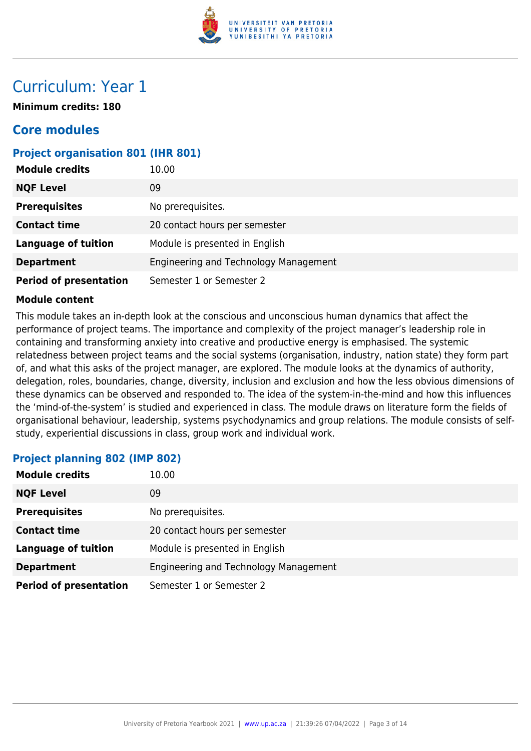

## Curriculum: Year 1

**Minimum credits: 180**

### **Core modules**

#### **Project organisation 801 (IHR 801)**

| <b>Module credits</b>         | 10.00                                 |
|-------------------------------|---------------------------------------|
| <b>NQF Level</b>              | 09                                    |
| <b>Prerequisites</b>          | No prerequisites.                     |
| <b>Contact time</b>           | 20 contact hours per semester         |
| <b>Language of tuition</b>    | Module is presented in English        |
| <b>Department</b>             | Engineering and Technology Management |
| <b>Period of presentation</b> | Semester 1 or Semester 2              |

#### **Module content**

This module takes an in-depth look at the conscious and unconscious human dynamics that affect the performance of project teams. The importance and complexity of the project manager's leadership role in containing and transforming anxiety into creative and productive energy is emphasised. The systemic relatedness between project teams and the social systems (organisation, industry, nation state) they form part of, and what this asks of the project manager, are explored. The module looks at the dynamics of authority, delegation, roles, boundaries, change, diversity, inclusion and exclusion and how the less obvious dimensions of these dynamics can be observed and responded to. The idea of the system-in-the-mind and how this influences the 'mind-of-the-system' is studied and experienced in class. The module draws on literature form the fields of organisational behaviour, leadership, systems psychodynamics and group relations. The module consists of selfstudy, experiential discussions in class, group work and individual work.

#### **Project planning 802 (IMP 802)**

| <b>Module credits</b>         | 10.00                                 |
|-------------------------------|---------------------------------------|
| <b>NQF Level</b>              | 09                                    |
| <b>Prerequisites</b>          | No prerequisites.                     |
| <b>Contact time</b>           | 20 contact hours per semester         |
| <b>Language of tuition</b>    | Module is presented in English        |
| <b>Department</b>             | Engineering and Technology Management |
| <b>Period of presentation</b> | Semester 1 or Semester 2              |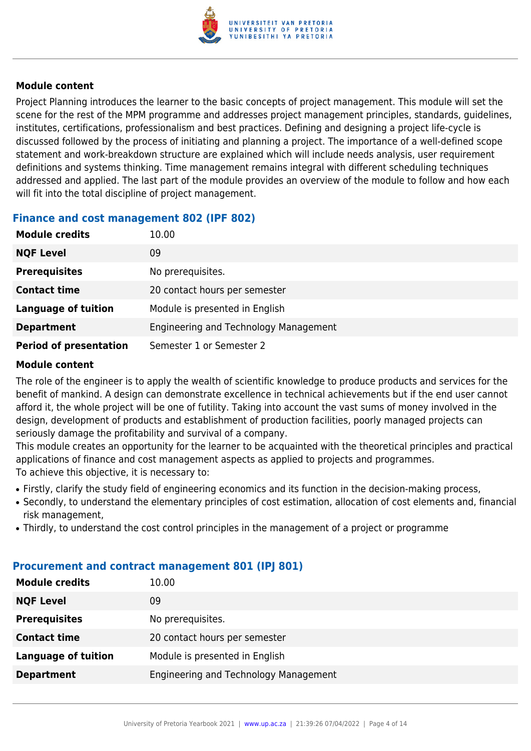

Project Planning introduces the learner to the basic concepts of project management. This module will set the scene for the rest of the MPM programme and addresses project management principles, standards, guidelines, institutes, certifications, professionalism and best practices. Defining and designing a project life-cycle is discussed followed by the process of initiating and planning a project. The importance of a well-defined scope statement and work-breakdown structure are explained which will include needs analysis, user requirement definitions and systems thinking. Time management remains integral with different scheduling techniques addressed and applied. The last part of the module provides an overview of the module to follow and how each will fit into the total discipline of project management.

#### **Finance and cost management 802 (IPF 802)**

| <b>Module credits</b>         | 10.00                                 |
|-------------------------------|---------------------------------------|
| <b>NQF Level</b>              | 09                                    |
| <b>Prerequisites</b>          | No prerequisites.                     |
| <b>Contact time</b>           | 20 contact hours per semester         |
| <b>Language of tuition</b>    | Module is presented in English        |
| <b>Department</b>             | Engineering and Technology Management |
| <b>Period of presentation</b> | Semester 1 or Semester 2              |

#### **Module content**

The role of the engineer is to apply the wealth of scientific knowledge to produce products and services for the benefit of mankind. A design can demonstrate excellence in technical achievements but if the end user cannot afford it, the whole project will be one of futility. Taking into account the vast sums of money involved in the design, development of products and establishment of production facilities, poorly managed projects can seriously damage the profitability and survival of a company.

This module creates an opportunity for the learner to be acquainted with the theoretical principles and practical applications of finance and cost management aspects as applied to projects and programmes. To achieve this objective, it is necessary to:

- Firstly, clarify the study field of engineering economics and its function in the decision-making process,
- Secondly, to understand the elementary principles of cost estimation, allocation of cost elements and, financial risk management,
- Thirdly, to understand the cost control principles in the management of a project or programme

| <b>Module credits</b> | 10.00                                 |
|-----------------------|---------------------------------------|
| <b>NQF Level</b>      | 09                                    |
| <b>Prerequisites</b>  | No prerequisites.                     |
| <b>Contact time</b>   | 20 contact hours per semester         |
| Language of tuition   | Module is presented in English        |
| <b>Department</b>     | Engineering and Technology Management |

#### **Procurement and contract management 801 (IPJ 801)**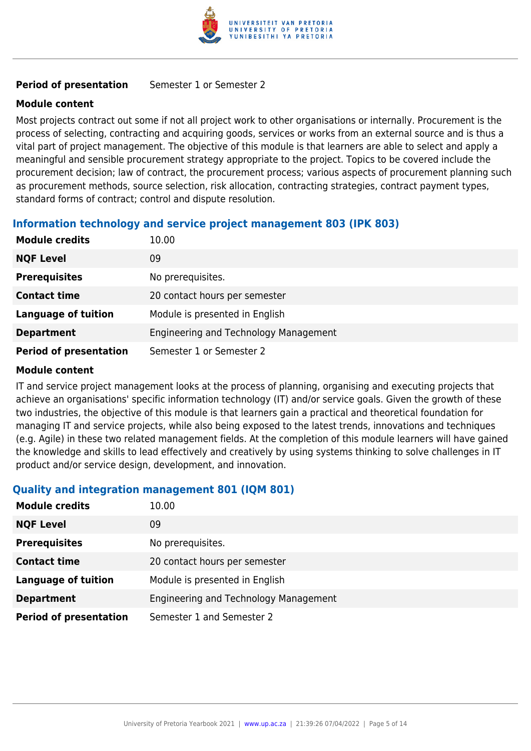

#### **Period of presentation** Semester 1 or Semester 2

#### **Module content**

Most projects contract out some if not all project work to other organisations or internally. Procurement is the process of selecting, contracting and acquiring goods, services or works from an external source and is thus a vital part of project management. The objective of this module is that learners are able to select and apply a meaningful and sensible procurement strategy appropriate to the project. Topics to be covered include the procurement decision; law of contract, the procurement process; various aspects of procurement planning such as procurement methods, source selection, risk allocation, contracting strategies, contract payment types, standard forms of contract; control and dispute resolution.

#### **Information technology and service project management 803 (IPK 803)**

| <b>Module credits</b>         | 10.00                                 |
|-------------------------------|---------------------------------------|
| <b>NQF Level</b>              | 09                                    |
| <b>Prerequisites</b>          | No prerequisites.                     |
| <b>Contact time</b>           | 20 contact hours per semester         |
| <b>Language of tuition</b>    | Module is presented in English        |
| <b>Department</b>             | Engineering and Technology Management |
| <b>Period of presentation</b> | Semester 1 or Semester 2              |

#### **Module content**

IT and service project management looks at the process of planning, organising and executing projects that achieve an organisations' specific information technology (IT) and/or service goals. Given the growth of these two industries, the objective of this module is that learners gain a practical and theoretical foundation for managing IT and service projects, while also being exposed to the latest trends, innovations and techniques (e.g. Agile) in these two related management fields. At the completion of this module learners will have gained the knowledge and skills to lead effectively and creatively by using systems thinking to solve challenges in IT product and/or service design, development, and innovation.

#### **Quality and integration management 801 (IQM 801)**

| <b>Module credits</b>         | 10.00                                 |
|-------------------------------|---------------------------------------|
| <b>NQF Level</b>              | 09                                    |
| <b>Prerequisites</b>          | No prerequisites.                     |
| <b>Contact time</b>           | 20 contact hours per semester         |
| <b>Language of tuition</b>    | Module is presented in English        |
| <b>Department</b>             | Engineering and Technology Management |
| <b>Period of presentation</b> | Semester 1 and Semester 2             |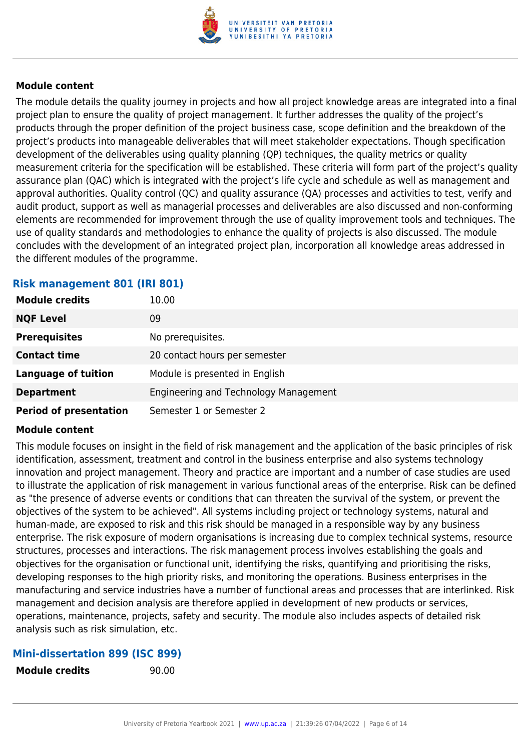

The module details the quality journey in projects and how all project knowledge areas are integrated into a final project plan to ensure the quality of project management. It further addresses the quality of the project's products through the proper definition of the project business case, scope definition and the breakdown of the project's products into manageable deliverables that will meet stakeholder expectations. Though specification development of the deliverables using quality planning (QP) techniques, the quality metrics or quality measurement criteria for the specification will be established. These criteria will form part of the project's quality assurance plan (QAC) which is integrated with the project's life cycle and schedule as well as management and approval authorities. Quality control (QC) and quality assurance (QA) processes and activities to test, verify and audit product, support as well as managerial processes and deliverables are also discussed and non-conforming elements are recommended for improvement through the use of quality improvement tools and techniques. The use of quality standards and methodologies to enhance the quality of projects is also discussed. The module concludes with the development of an integrated project plan, incorporation all knowledge areas addressed in the different modules of the programme.

#### **Risk management 801 (IRI 801)**

| <b>Module credits</b>         | 10.00                                 |
|-------------------------------|---------------------------------------|
| <b>NQF Level</b>              | 09                                    |
| <b>Prerequisites</b>          | No prerequisites.                     |
| <b>Contact time</b>           | 20 contact hours per semester         |
| <b>Language of tuition</b>    | Module is presented in English        |
| <b>Department</b>             | Engineering and Technology Management |
| <b>Period of presentation</b> | Semester 1 or Semester 2              |

#### **Module content**

This module focuses on insight in the field of risk management and the application of the basic principles of risk identification, assessment, treatment and control in the business enterprise and also systems technology innovation and project management. Theory and practice are important and a number of case studies are used to illustrate the application of risk management in various functional areas of the enterprise. Risk can be defined as "the presence of adverse events or conditions that can threaten the survival of the system, or prevent the objectives of the system to be achieved". All systems including project or technology systems, natural and human-made, are exposed to risk and this risk should be managed in a responsible way by any business enterprise. The risk exposure of modern organisations is increasing due to complex technical systems, resource structures, processes and interactions. The risk management process involves establishing the goals and objectives for the organisation or functional unit, identifying the risks, quantifying and prioritising the risks, developing responses to the high priority risks, and monitoring the operations. Business enterprises in the manufacturing and service industries have a number of functional areas and processes that are interlinked. Risk management and decision analysis are therefore applied in development of new products or services, operations, maintenance, projects, safety and security. The module also includes aspects of detailed risk analysis such as risk simulation, etc.

#### **Mini-dissertation 899 (ISC 899)**

**Module credits** 90.00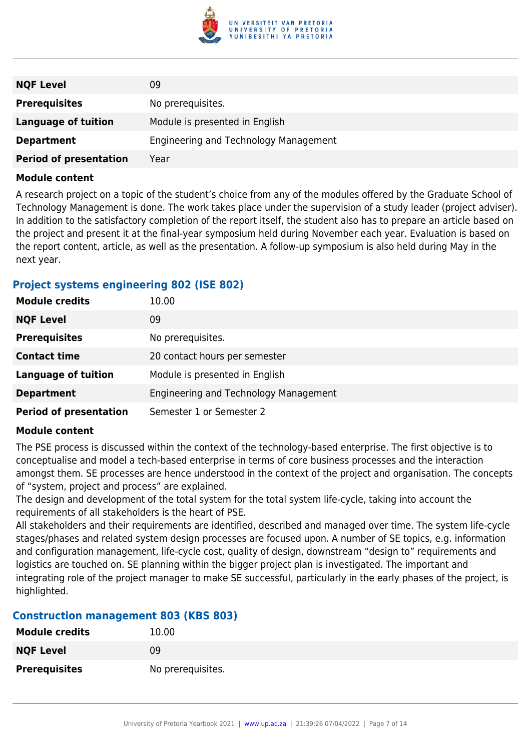

| <b>NQF Level</b>              | 09                                    |
|-------------------------------|---------------------------------------|
| <b>Prerequisites</b>          | No prerequisites.                     |
| Language of tuition           | Module is presented in English        |
| <b>Department</b>             | Engineering and Technology Management |
| <b>Period of presentation</b> | Year                                  |

A research project on a topic of the student's choice from any of the modules offered by the Graduate School of Technology Management is done. The work takes place under the supervision of a study leader (project adviser). In addition to the satisfactory completion of the report itself, the student also has to prepare an article based on the project and present it at the final-year symposium held during November each year. Evaluation is based on the report content, article, as well as the presentation. A follow-up symposium is also held during May in the next year.

#### **Project systems engineering 802 (ISE 802)**

| <b>Module credits</b>         | 10.00                                 |
|-------------------------------|---------------------------------------|
| <b>NQF Level</b>              | 09                                    |
| <b>Prerequisites</b>          | No prerequisites.                     |
| <b>Contact time</b>           | 20 contact hours per semester         |
| <b>Language of tuition</b>    | Module is presented in English        |
| <b>Department</b>             | Engineering and Technology Management |
| <b>Period of presentation</b> | Semester 1 or Semester 2              |

#### **Module content**

The PSE process is discussed within the context of the technology-based enterprise. The first objective is to conceptualise and model a tech-based enterprise in terms of core business processes and the interaction amongst them. SE processes are hence understood in the context of the project and organisation. The concepts of "system, project and process" are explained.

The design and development of the total system for the total system life-cycle, taking into account the requirements of all stakeholders is the heart of PSE.

All stakeholders and their requirements are identified, described and managed over time. The system life-cycle stages/phases and related system design processes are focused upon. A number of SE topics, e.g. information and configuration management, life-cycle cost, quality of design, downstream "design to" requirements and logistics are touched on. SE planning within the bigger project plan is investigated. The important and integrating role of the project manager to make SE successful, particularly in the early phases of the project, is highlighted.

#### **Construction management 803 (KBS 803)**

| <b>Module credits</b> | 10.00             |
|-----------------------|-------------------|
| <b>NQF Level</b>      | 09                |
| <b>Prerequisites</b>  | No prerequisites. |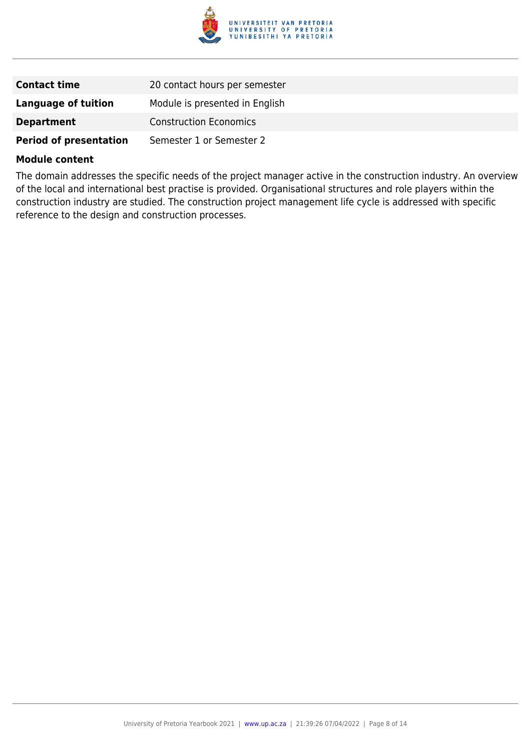

| <b>Contact time</b>           | 20 contact hours per semester  |
|-------------------------------|--------------------------------|
| <b>Language of tuition</b>    | Module is presented in English |
| <b>Department</b>             | <b>Construction Economics</b>  |
| <b>Period of presentation</b> | Semester 1 or Semester 2       |

The domain addresses the specific needs of the project manager active in the construction industry. An overview of the local and international best practise is provided. Organisational structures and role players within the construction industry are studied. The construction project management life cycle is addressed with specific reference to the design and construction processes.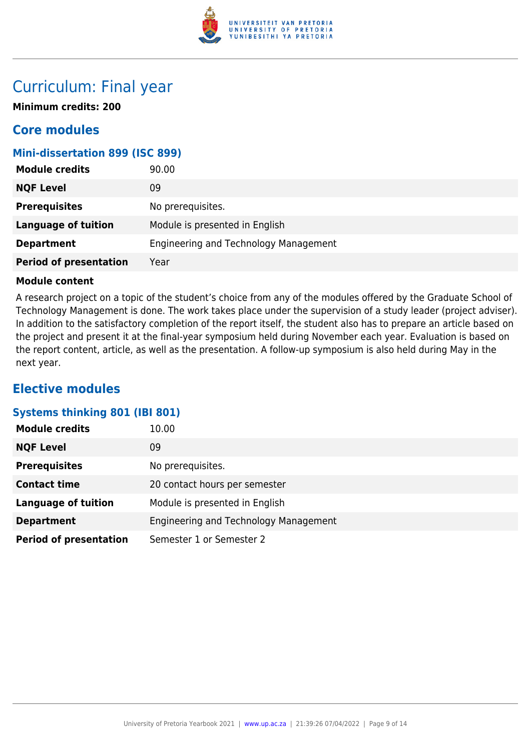

## Curriculum: Final year

**Minimum credits: 200**

### **Core modules**

#### **Mini-dissertation 899 (ISC 899)**

| <b>Module credits</b>         | 90.00                                 |
|-------------------------------|---------------------------------------|
| <b>NQF Level</b>              | 09                                    |
| <b>Prerequisites</b>          | No prerequisites.                     |
| <b>Language of tuition</b>    | Module is presented in English        |
| <b>Department</b>             | Engineering and Technology Management |
| <b>Period of presentation</b> | Year                                  |

#### **Module content**

A research project on a topic of the student's choice from any of the modules offered by the Graduate School of Technology Management is done. The work takes place under the supervision of a study leader (project adviser). In addition to the satisfactory completion of the report itself, the student also has to prepare an article based on the project and present it at the final-year symposium held during November each year. Evaluation is based on the report content, article, as well as the presentation. A follow-up symposium is also held during May in the next year.

### **Elective modules**

#### **Systems thinking 801 (IBI 801)**

| <b>Module credits</b>         | 10.00                                 |
|-------------------------------|---------------------------------------|
| <b>NQF Level</b>              | 09                                    |
| <b>Prerequisites</b>          | No prerequisites.                     |
| <b>Contact time</b>           | 20 contact hours per semester         |
| <b>Language of tuition</b>    | Module is presented in English        |
| <b>Department</b>             | Engineering and Technology Management |
| <b>Period of presentation</b> | Semester 1 or Semester 2              |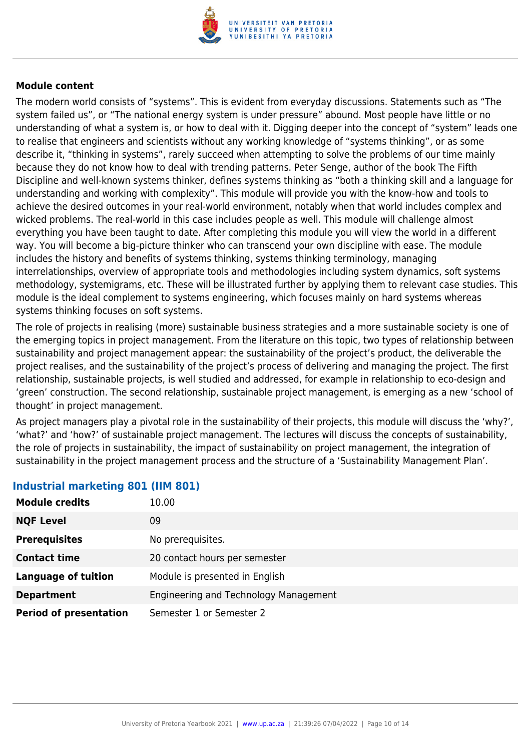

The modern world consists of "systems". This is evident from everyday discussions. Statements such as "The system failed us", or "The national energy system is under pressure" abound. Most people have little or no understanding of what a system is, or how to deal with it. Digging deeper into the concept of "system" leads one to realise that engineers and scientists without any working knowledge of "systems thinking", or as some describe it, "thinking in systems", rarely succeed when attempting to solve the problems of our time mainly because they do not know how to deal with trending patterns. Peter Senge, author of the book The Fifth Discipline and well-known systems thinker, defines systems thinking as "both a thinking skill and a language for understanding and working with complexity". This module will provide you with the know-how and tools to achieve the desired outcomes in your real-world environment, notably when that world includes complex and wicked problems. The real-world in this case includes people as well. This module will challenge almost everything you have been taught to date. After completing this module you will view the world in a different way. You will become a big-picture thinker who can transcend your own discipline with ease. The module includes the history and benefits of systems thinking, systems thinking terminology, managing interrelationships, overview of appropriate tools and methodologies including system dynamics, soft systems methodology, systemigrams, etc. These will be illustrated further by applying them to relevant case studies. This module is the ideal complement to systems engineering, which focuses mainly on hard systems whereas systems thinking focuses on soft systems.

The role of projects in realising (more) sustainable business strategies and a more sustainable society is one of the emerging topics in project management. From the literature on this topic, two types of relationship between sustainability and project management appear: the sustainability of the project's product, the deliverable the project realises, and the sustainability of the project's process of delivering and managing the project. The first relationship, sustainable projects, is well studied and addressed, for example in relationship to eco-design and 'green' construction. The second relationship, sustainable project management, is emerging as a new 'school of thought' in project management.

As project managers play a pivotal role in the sustainability of their projects, this module will discuss the 'why?', 'what?' and 'how?' of sustainable project management. The lectures will discuss the concepts of sustainability, the role of projects in sustainability, the impact of sustainability on project management, the integration of sustainability in the project management process and the structure of a 'Sustainability Management Plan'.

| <b>Module credits</b>         | 10.00                                 |
|-------------------------------|---------------------------------------|
| <b>NQF Level</b>              | 09                                    |
| <b>Prerequisites</b>          | No prerequisites.                     |
| <b>Contact time</b>           | 20 contact hours per semester         |
| <b>Language of tuition</b>    | Module is presented in English        |
| <b>Department</b>             | Engineering and Technology Management |
| <b>Period of presentation</b> | Semester 1 or Semester 2              |

#### **Industrial marketing 801 (IIM 801)**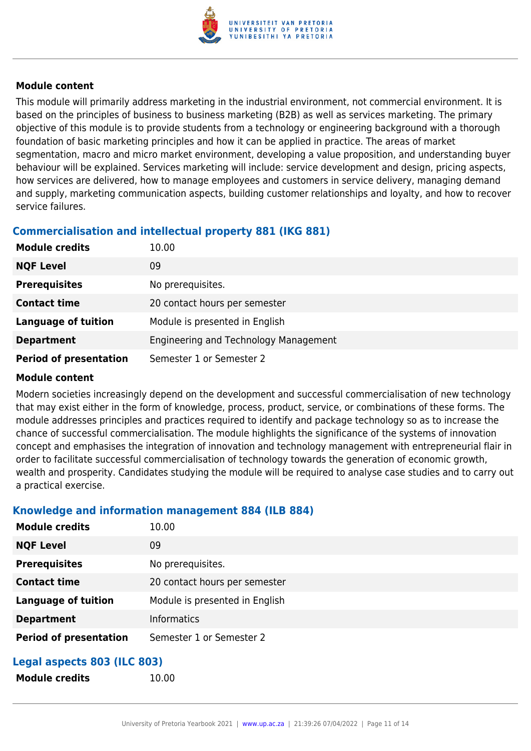

This module will primarily address marketing in the industrial environment, not commercial environment. It is based on the principles of business to business marketing (B2B) as well as services marketing. The primary objective of this module is to provide students from a technology or engineering background with a thorough foundation of basic marketing principles and how it can be applied in practice. The areas of market segmentation, macro and micro market environment, developing a value proposition, and understanding buyer behaviour will be explained. Services marketing will include: service development and design, pricing aspects, how services are delivered, how to manage employees and customers in service delivery, managing demand and supply, marketing communication aspects, building customer relationships and loyalty, and how to recover service failures.

### **Commercialisation and intellectual property 881 (IKG 881)**

| <b>Module credits</b>         | 10.00                                 |
|-------------------------------|---------------------------------------|
| <b>NQF Level</b>              | 09                                    |
| <b>Prerequisites</b>          | No prerequisites.                     |
| <b>Contact time</b>           | 20 contact hours per semester         |
| <b>Language of tuition</b>    | Module is presented in English        |
| <b>Department</b>             | Engineering and Technology Management |
| <b>Period of presentation</b> | Semester 1 or Semester 2              |

#### **Module content**

Modern societies increasingly depend on the development and successful commercialisation of new technology that may exist either in the form of knowledge, process, product, service, or combinations of these forms. The module addresses principles and practices required to identify and package technology so as to increase the chance of successful commercialisation. The module highlights the significance of the systems of innovation concept and emphasises the integration of innovation and technology management with entrepreneurial flair in order to facilitate successful commercialisation of technology towards the generation of economic growth, wealth and prosperity. Candidates studying the module will be required to analyse case studies and to carry out a practical exercise.

#### **Knowledge and information management 884 (ILB 884)**

**Module credits** 10.00

| <b>Module credits</b>         | 10.00                          |
|-------------------------------|--------------------------------|
| <b>NQF Level</b>              | 09                             |
| <b>Prerequisites</b>          | No prerequisites.              |
| <b>Contact time</b>           | 20 contact hours per semester  |
| <b>Language of tuition</b>    | Module is presented in English |
| <b>Department</b>             | <b>Informatics</b>             |
| <b>Period of presentation</b> | Semester 1 or Semester 2       |

### **Legal aspects 803 (ILC 803)**

| <b>Module credits</b> |
|-----------------------|
|-----------------------|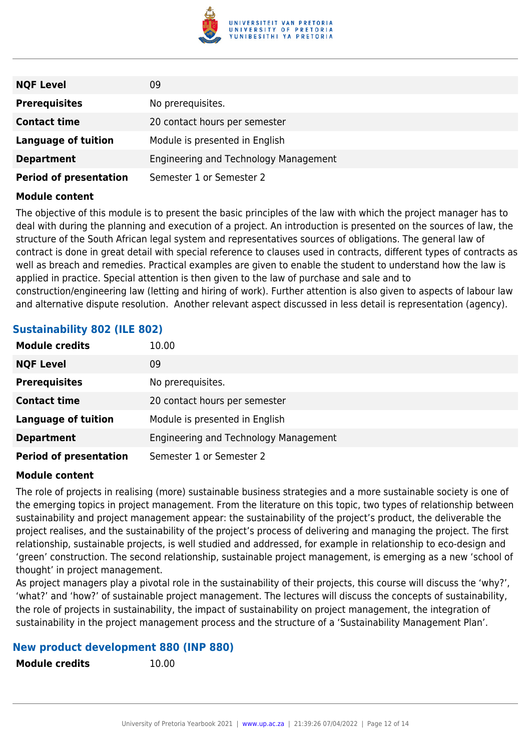

| <b>NQF Level</b>              | 09                                    |
|-------------------------------|---------------------------------------|
| <b>Prerequisites</b>          | No prerequisites.                     |
| <b>Contact time</b>           | 20 contact hours per semester         |
| Language of tuition           | Module is presented in English        |
| <b>Department</b>             | Engineering and Technology Management |
| <b>Period of presentation</b> | Semester 1 or Semester 2              |

The objective of this module is to present the basic principles of the law with which the project manager has to deal with during the planning and execution of a project. An introduction is presented on the sources of law, the structure of the South African legal system and representatives sources of obligations. The general law of contract is done in great detail with special reference to clauses used in contracts, different types of contracts as well as breach and remedies. Practical examples are given to enable the student to understand how the law is applied in practice. Special attention is then given to the law of purchase and sale and to construction/engineering law (letting and hiring of work). Further attention is also given to aspects of labour law and alternative dispute resolution. Another relevant aspect discussed in less detail is representation (agency).

#### **Sustainability 802 (ILE 802)**

| <b>Module credits</b>         | 10.00                                 |
|-------------------------------|---------------------------------------|
| <b>NQF Level</b>              | 09                                    |
| <b>Prerequisites</b>          | No prerequisites.                     |
| <b>Contact time</b>           | 20 contact hours per semester         |
| <b>Language of tuition</b>    | Module is presented in English        |
| <b>Department</b>             | Engineering and Technology Management |
| <b>Period of presentation</b> | Semester 1 or Semester 2              |

#### **Module content**

The role of projects in realising (more) sustainable business strategies and a more sustainable society is one of the emerging topics in project management. From the literature on this topic, two types of relationship between sustainability and project management appear: the sustainability of the project's product, the deliverable the project realises, and the sustainability of the project's process of delivering and managing the project. The first relationship, sustainable projects, is well studied and addressed, for example in relationship to eco-design and 'green' construction. The second relationship, sustainable project management, is emerging as a new 'school of thought' in project management.

As project managers play a pivotal role in the sustainability of their projects, this course will discuss the 'why?', 'what?' and 'how?' of sustainable project management. The lectures will discuss the concepts of sustainability, the role of projects in sustainability, the impact of sustainability on project management, the integration of sustainability in the project management process and the structure of a 'Sustainability Management Plan'.

#### **New product development 880 (INP 880)**

**Module credits** 10.00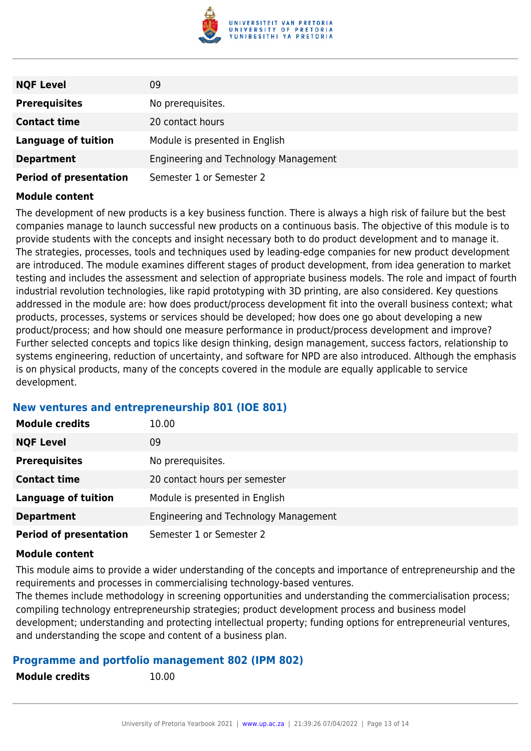

| <b>NQF Level</b>              | 09                                    |
|-------------------------------|---------------------------------------|
| <b>Prerequisites</b>          | No prerequisites.                     |
| <b>Contact time</b>           | 20 contact hours                      |
| <b>Language of tuition</b>    | Module is presented in English        |
| <b>Department</b>             | Engineering and Technology Management |
| <b>Period of presentation</b> | Semester 1 or Semester 2              |

The development of new products is a key business function. There is always a high risk of failure but the best companies manage to launch successful new products on a continuous basis. The objective of this module is to provide students with the concepts and insight necessary both to do product development and to manage it. The strategies, processes, tools and techniques used by leading-edge companies for new product development are introduced. The module examines different stages of product development, from idea generation to market testing and includes the assessment and selection of appropriate business models. The role and impact of fourth industrial revolution technologies, like rapid prototyping with 3D printing, are also considered. Key questions addressed in the module are: how does product/process development fit into the overall business context; what products, processes, systems or services should be developed; how does one go about developing a new product/process; and how should one measure performance in product/process development and improve? Further selected concepts and topics like design thinking, design management, success factors, relationship to systems engineering, reduction of uncertainty, and software for NPD are also introduced. Although the emphasis is on physical products, many of the concepts covered in the module are equally applicable to service development.

#### **New ventures and entrepreneurship 801 (IOE 801)**

| <b>Module credits</b>         | 10.00                                 |
|-------------------------------|---------------------------------------|
| <b>NQF Level</b>              | 09                                    |
| <b>Prerequisites</b>          | No prerequisites.                     |
| <b>Contact time</b>           | 20 contact hours per semester         |
| <b>Language of tuition</b>    | Module is presented in English        |
| <b>Department</b>             | Engineering and Technology Management |
| <b>Period of presentation</b> | Semester 1 or Semester 2              |

#### **Module content**

This module aims to provide a wider understanding of the concepts and importance of entrepreneurship and the requirements and processes in commercialising technology-based ventures.

The themes include methodology in screening opportunities and understanding the commercialisation process; compiling technology entrepreneurship strategies; product development process and business model development; understanding and protecting intellectual property; funding options for entrepreneurial ventures, and understanding the scope and content of a business plan.

#### **Programme and portfolio management 802 (IPM 802)**

| <b>Module credits</b> | 10.00 |
|-----------------------|-------|
|                       |       |